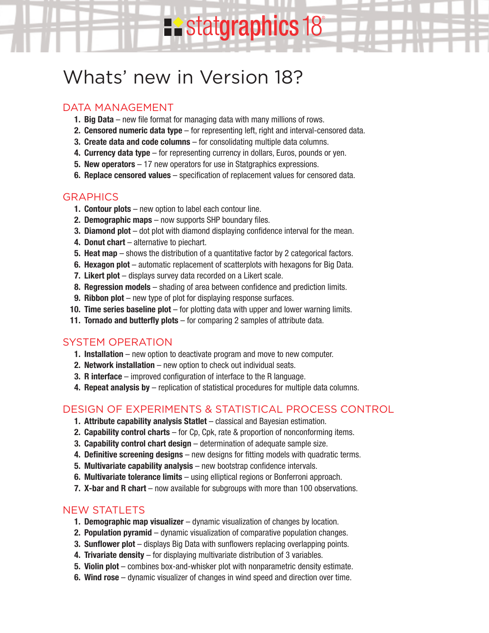# Whats' new in Version 18?

## DATA MANAGEMENT

- **1. Big Data** new file format for managing data with many millions of rows.
- **2. Censored numeric data type** for representing left, right and interval-censored data.

statgraphics 18<sup>®</sup>

- **3. Create data and code columns** for consolidating multiple data columns.
- **4. Currency data type** for representing currency in dollars, Euros, pounds or yen.
- **5. New operators** 17 new operators for use in Statgraphics expressions.
- **6. Replace censored values** specification of replacement values for censored data.

#### **GRAPHICS**

- **1. Contour plots** new option to label each contour line.
- **2. Demographic maps** now supports SHP boundary files.
- **3. Diamond plot** dot plot with diamond displaying confidence interval for the mean.
- **4. Donut chart** alternative to piechart.
- **5. Heat map** shows the distribution of a quantitative factor by 2 categorical factors.
- **6. Hexagon plot** automatic replacement of scatterplots with hexagons for Big Data.
- **7. Likert plot** displays survey data recorded on a Likert scale.
- **8. Regression models** shading of area between confidence and prediction limits.
- **9. Ribbon plot** new type of plot for displaying response surfaces.
- **10. Time series baseline plot** for plotting data with upper and lower warning limits.
- **11. Tornado and butterfly plots** for comparing 2 samples of attribute data.

#### SYSTEM OPERATION

- **1. Installation** new option to deactivate program and move to new computer.
- **2. Network installation** new option to check out individual seats.
- **3. R interface** improved configuration of interface to the R language.
- **4. Repeat analysis by** replication of statistical procedures for multiple data columns.

#### DESIGN OF EXPERIMENTS & STATISTICAL PROCESS CONTROL

- **1. Attribute capability analysis Statlet** classical and Bayesian estimation.
- **2. Capability control charts** for Cp, Cpk, rate & proportion of nonconforming items.
- **3. Capability control chart design** determination of adequate sample size.
- **4. Definitive screening designs** new designs for fitting models with quadratic terms.
- **5. Multivariate capability analysis** new bootstrap confidence intervals.
- **6. Multivariate tolerance limits** using elliptical regions or Bonferroni approach.
- **7. X-bar and R chart** now available for subgroups with more than 100 observations.

#### NEW STATI FTS

- **1. Demographic map visualizer** dynamic visualization of changes by location.
- **2. Population pyramid** dynamic visualization of comparative population changes.
- **3. Sunflower plot** displays Big Data with sunflowers replacing overlapping points.
- **4. Trivariate density** for displaying multivariate distribution of 3 variables.
- **5. Violin plot** combines box-and-whisker plot with nonparametric density estimate.
- **6. Wind rose** dynamic visualizer of changes in wind speed and direction over time.